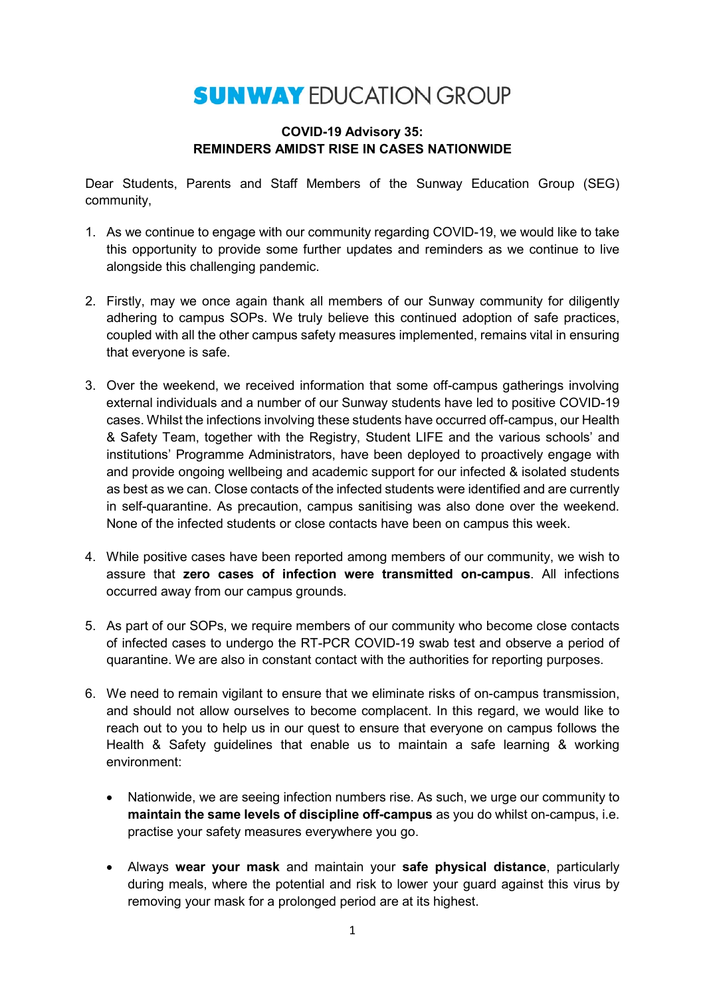## **SUNWAY EDUCATION GROUP**

## **COVID-19 Advisory 35: REMINDERS AMIDST RISE IN CASES NATIONWIDE**

Dear Students, Parents and Staff Members of the Sunway Education Group (SEG) community,

- 1. As we continue to engage with our community regarding COVID-19, we would like to take this opportunity to provide some further updates and reminders as we continue to live alongside this challenging pandemic.
- 2. Firstly, may we once again thank all members of our Sunway community for diligently adhering to campus SOPs. We truly believe this continued adoption of safe practices, coupled with all the other campus safety measures implemented, remains vital in ensuring that everyone is safe.
- 3. Over the weekend, we received information that some off-campus gatherings involving external individuals and a number of our Sunway students have led to positive COVID-19 cases. Whilst the infections involving these students have occurred off-campus, our Health & Safety Team, together with the Registry, Student LIFE and the various schools' and institutions' Programme Administrators, have been deployed to proactively engage with and provide ongoing wellbeing and academic support for our infected & isolated students as best as we can. Close contacts of the infected students were identified and are currently in self-quarantine. As precaution, campus sanitising was also done over the weekend. None of the infected students or close contacts have been on campus this week.
- 4. While positive cases have been reported among members of our community, we wish to assure that **zero cases of infection were transmitted on-campus**. All infections occurred away from our campus grounds.
- 5. As part of our SOPs, we require members of our community who become close contacts of infected cases to undergo the RT-PCR COVID-19 swab test and observe a period of quarantine. We are also in constant contact with the authorities for reporting purposes.
- 6. We need to remain vigilant to ensure that we eliminate risks of on-campus transmission, and should not allow ourselves to become complacent. In this regard, we would like to reach out to you to help us in our quest to ensure that everyone on campus follows the Health & Safety guidelines that enable us to maintain a safe learning & working environment:
	- Nationwide, we are seeing infection numbers rise. As such, we urge our community to **maintain the same levels of discipline off-campus** as you do whilst on-campus, i.e. practise your safety measures everywhere you go.
	- Always **wear your mask** and maintain your **safe physical distance**, particularly during meals, where the potential and risk to lower your guard against this virus by removing your mask for a prolonged period are at its highest.